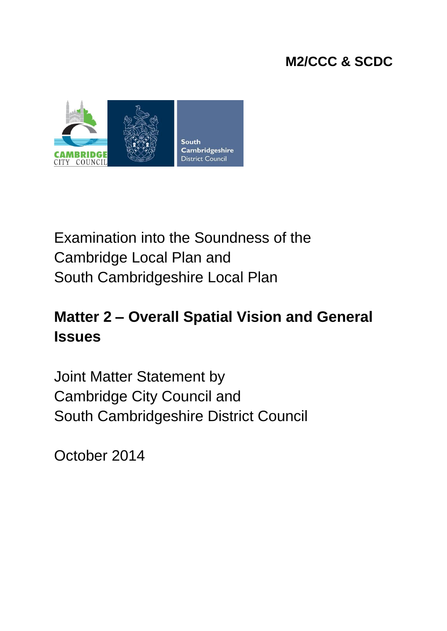# **M2/CCC & SCDC**



# Examination into the Soundness of the Cambridge Local Plan and South Cambridgeshire Local Plan

# **Matter 2 – Overall Spatial Vision and General Issues**

Joint Matter Statement by Cambridge City Council and South Cambridgeshire District Council

October 2014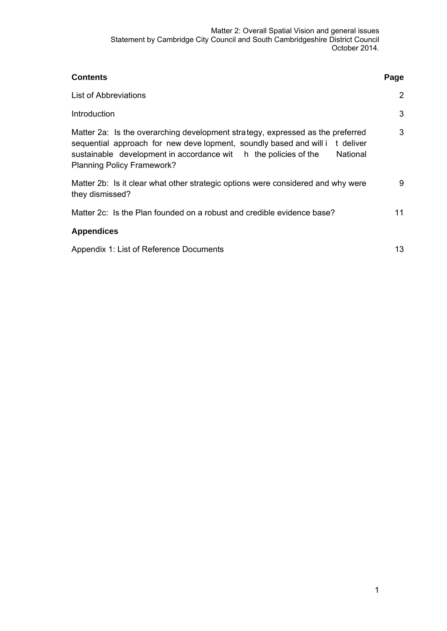| <b>Contents</b>                                                                                                                                                                                                                                                                   | Page |
|-----------------------------------------------------------------------------------------------------------------------------------------------------------------------------------------------------------------------------------------------------------------------------------|------|
| <b>List of Abbreviations</b>                                                                                                                                                                                                                                                      | 2    |
| Introduction                                                                                                                                                                                                                                                                      | 3    |
| Matter 2a: Is the overarching development strategy, expressed as the preferred<br>sequential approach for new deve lopment, soundly based and will it deliver<br>sustainable development in accordance wit h the policies of the<br>National<br><b>Planning Policy Framework?</b> | 3    |
| Matter 2b: Is it clear what other strategic options were considered and why were<br>they dismissed?                                                                                                                                                                               | 9    |
| Matter 2c: Is the Plan founded on a robust and credible evidence base?                                                                                                                                                                                                            | 11   |
| <b>Appendices</b>                                                                                                                                                                                                                                                                 |      |
| Appendix 1: List of Reference Documents                                                                                                                                                                                                                                           | 13   |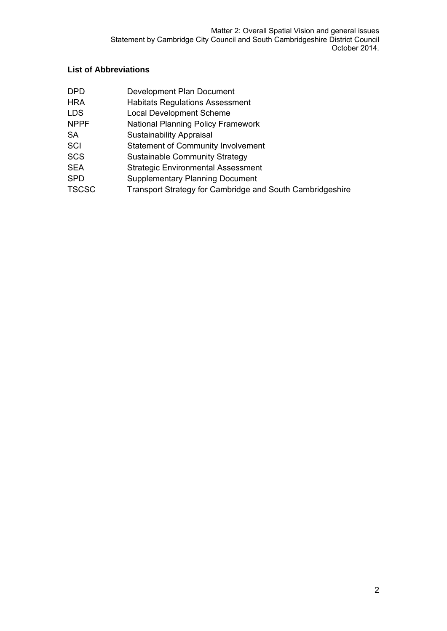# **List of Abbreviations**

| <b>DPD</b>   | Development Plan Document                                 |
|--------------|-----------------------------------------------------------|
| HRA          | <b>Habitats Regulations Assessment</b>                    |
| LDS          | <b>Local Development Scheme</b>                           |
| <b>NPPF</b>  | National Planning Policy Framework                        |
| SA           | <b>Sustainability Appraisal</b>                           |
| SCI          | <b>Statement of Community Involvement</b>                 |
| SCS          | <b>Sustainable Community Strategy</b>                     |
| SEA          | <b>Strategic Environmental Assessment</b>                 |
| SPD          | <b>Supplementary Planning Document</b>                    |
| <b>TSCSC</b> | Transport Strategy for Cambridge and South Cambridgeshire |
|              |                                                           |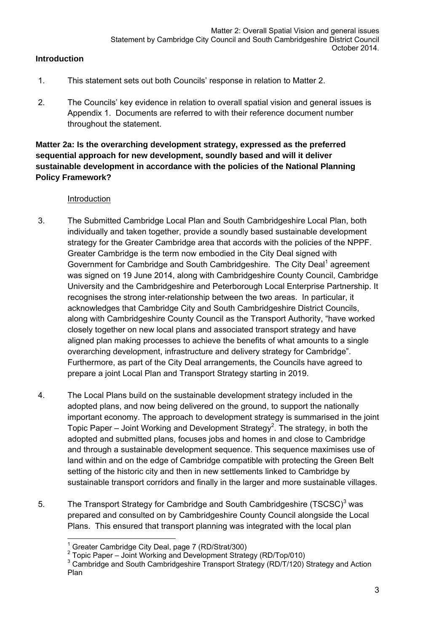#### **Introduction**

- 1. This statement sets out both Councils' response in relation to Matter 2.
- 2. The Councils' key evidence in relation to overall spatial vision and general issues is Appendix 1. Documents are referred to with their reference document number throughout the statement.

### **Matter 2a: Is the overarching development strategy, expressed as the preferred sequential approach for new development, soundly based and will it deliver sustainable development in accordance with the policies of the National Planning Policy Framework?**

#### Introduction

- 3. The Submitted Cambridge Local Plan and South Cambridgeshire Local Plan, both individually and taken together, provide a soundly based sustainable development strategy for the Greater Cambridge area that accords with the policies of the NPPF. Greater Cambridge is the term now embodied in the City Deal signed with Government for Cambridge and South Cambridgeshire. The City Deal<sup>1</sup> agreement was signed on 19 June 2014, along with Cambridgeshire County Council, Cambridge University and the Cambridgeshire and Peterborough Local Enterprise Partnership. It recognises the strong inter-relationship between the two areas. In particular, it acknowledges that Cambridge City and South Cambridgeshire District Councils, along with Cambridgeshire County Council as the Transport Authority, "have worked closely together on new local plans and associated transport strategy and have aligned plan making processes to achieve the benefits of what amounts to a single overarching development, infrastructure and delivery strategy for Cambridge". Furthermore, as part of the City Deal arrangements, the Councils have agreed to prepare a joint Local Plan and Transport Strategy starting in 2019.
- 4. The Local Plans build on the sustainable development strategy included in the adopted plans, and now being delivered on the ground, to support the nationally important economy. The approach to development strategy is summarised in the joint Topic Paper – Joint Working and Development Strategy<sup>2</sup>. The strategy, in both the adopted and submitted plans, focuses jobs and homes in and close to Cambridge and through a sustainable development sequence. This sequence maximises use of land within and on the edge of Cambridge compatible with protecting the Green Belt setting of the historic city and then in new settlements linked to Cambridge by sustainable transport corridors and finally in the larger and more sustainable villages.
- 5. The Transport Strategy for Cambridge and South Cambridgeshire (TSCSC) $3$  was prepared and consulted on by Cambridgeshire County Council alongside the Local Plans. This ensured that transport planning was integrated with the local plan

 1 Greater Cambridge City Deal, page 7 (RD/Strat/300)

 $2$  Topic Paper – Joint Working and Development Strategy (RD/Top/010)

<sup>&</sup>lt;sup>3</sup> Cambridge and South Cambridgeshire Transport Strategy (RD/T/120) Strategy and Action Plan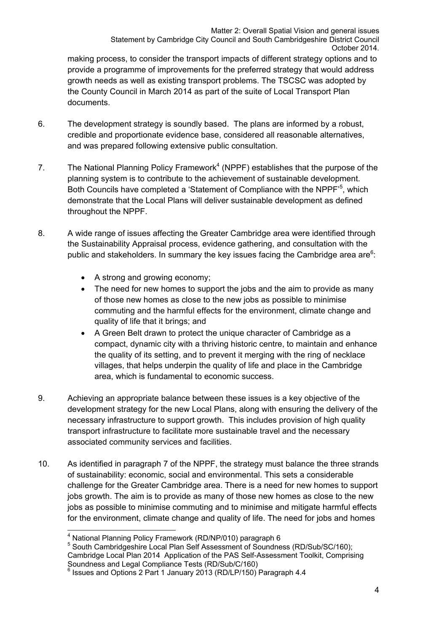making process, to consider the transport impacts of different strategy options and to provide a programme of improvements for the preferred strategy that would address growth needs as well as existing transport problems. The TSCSC was adopted by the County Council in March 2014 as part of the suite of Local Transport Plan documents.

- 6. The development strategy is soundly based. The plans are informed by a robust, credible and proportionate evidence base, considered all reasonable alternatives, and was prepared following extensive public consultation.
- 7. The National Planning Policy Framework<sup>4</sup> (NPPF) establishes that the purpose of the planning system is to contribute to the achievement of sustainable development. Both Councils have completed a 'Statement of Compliance with the NPPF<sup>-5</sup>, which demonstrate that the Local Plans will deliver sustainable development as defined throughout the NPPF.
- 8. A wide range of issues affecting the Greater Cambridge area were identified through the Sustainability Appraisal process, evidence gathering, and consultation with the public and stakeholders. In summary the key issues facing the Cambridge area are $6$ :
	- A strong and growing economy;
	- The need for new homes to support the jobs and the aim to provide as many of those new homes as close to the new jobs as possible to minimise commuting and the harmful effects for the environment, climate change and quality of life that it brings; and
	- A Green Belt drawn to protect the unique character of Cambridge as a compact, dynamic city with a thriving historic centre, to maintain and enhance the quality of its setting, and to prevent it merging with the ring of necklace villages, that helps underpin the quality of life and place in the Cambridge area, which is fundamental to economic success.
- 9. Achieving an appropriate balance between these issues is a key objective of the development strategy for the new Local Plans, along with ensuring the delivery of the necessary infrastructure to support growth. This includes provision of high quality transport infrastructure to facilitate more sustainable travel and the necessary associated community services and facilities.
- 10. As identified in paragraph 7 of the NPPF, the strategy must balance the three strands of sustainability: economic, social and environmental. This sets a considerable challenge for the Greater Cambridge area. There is a need for new homes to support jobs growth. The aim is to provide as many of those new homes as close to the new jobs as possible to minimise commuting and to minimise and mitigate harmful effects for the environment, climate change and quality of life. The need for jobs and homes

 4 National Planning Policy Framework (RD/NP/010) paragraph 6 5

<sup>&</sup>lt;sup>5</sup> South Cambridgeshire Local Plan Self Assessment of Soundness (RD/Sub/SC/160); Cambridge Local Plan 2014 Application of the PAS Self-Assessment Toolkit, Comprising Soundness and Legal Compliance Tests (RD/Sub/C/160)<br><sup>6</sup> Issues and Options 2 Part 1 January 2013 (RD/LP/150) Paragraph 4.4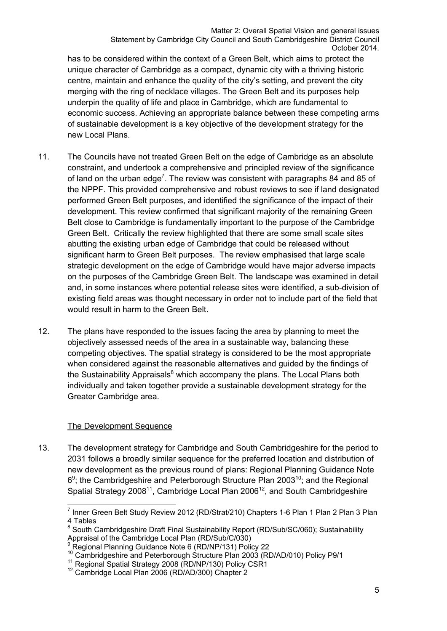has to be considered within the context of a Green Belt, which aims to protect the unique character of Cambridge as a compact, dynamic city with a thriving historic centre, maintain and enhance the quality of the city's setting, and prevent the city merging with the ring of necklace villages. The Green Belt and its purposes help underpin the quality of life and place in Cambridge, which are fundamental to economic success. Achieving an appropriate balance between these competing arms of sustainable development is a key objective of the development strategy for the new Local Plans.

- 11. The Councils have not treated Green Belt on the edge of Cambridge as an absolute constraint, and undertook a comprehensive and principled review of the significance of land on the urban edge<sup>7</sup>. The review was consistent with paragraphs 84 and 85 of the NPPF. This provided comprehensive and robust reviews to see if land designated performed Green Belt purposes, and identified the significance of the impact of their development. This review confirmed that significant majority of the remaining Green Belt close to Cambridge is fundamentally important to the purpose of the Cambridge Green Belt. Critically the review highlighted that there are some small scale sites abutting the existing urban edge of Cambridge that could be released without significant harm to Green Belt purposes. The review emphasised that large scale strategic development on the edge of Cambridge would have major adverse impacts on the purposes of the Cambridge Green Belt. The landscape was examined in detail and, in some instances where potential release sites were identified, a sub-division of existing field areas was thought necessary in order not to include part of the field that would result in harm to the Green Belt.
- 12. The plans have responded to the issues facing the area by planning to meet the objectively assessed needs of the area in a sustainable way, balancing these competing objectives. The spatial strategy is considered to be the most appropriate when considered against the reasonable alternatives and guided by the findings of the Sustainability Appraisals<sup>8</sup> which accompany the plans. The Local Plans both individually and taken together provide a sustainable development strategy for the Greater Cambridge area.

#### The Development Sequence

13. The development strategy for Cambridge and South Cambridgeshire for the period to 2031 follows a broadly similar sequence for the preferred location and distribution of new development as the previous round of plans: Regional Planning Guidance Note  $6<sup>9</sup>$ ; the Cambridgeshire and Peterborough Structure Plan 2003<sup>10</sup>; and the Regional Spatial Strategy 2008<sup>11</sup>, Cambridge Local Plan 2006<sup>12</sup>, and South Cambridgeshire

<sup>————————————————————&</sup>lt;br><sup>7</sup> Inner Green Belt Study Review 2012 (RD/Strat/210) Chapters 1-6 Plan 1 Plan 2 Plan 3 Plan 4 Tables

<sup>&</sup>lt;sup>8</sup> South Cambridgeshire Draft Final Sustainability Report (RD/Sub/SC/060); Sustainability Appraisal of the Cambridge Local Plan (RD/Sub/C/030)

Regional Planning Guidance Note 6 (RD/NP/131) Policy 22

<sup>&</sup>lt;sup>10</sup> Cambridgeshire and Peterborough Structure Plan 2003 (RD/AD/010) Policy P9/1<br><sup>11</sup> Regional Spatial Strategy 2008 (RD/NP/130) Policy CSR1<br><sup>12</sup> Cambridge Local Plan 2006 (RD/AD/300) Chapter 2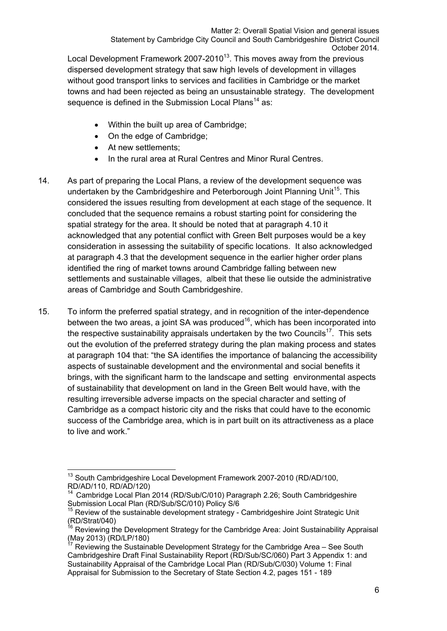Local Development Framework 2007-2010<sup>13</sup>. This moves away from the previous dispersed development strategy that saw high levels of development in villages without good transport links to services and facilities in Cambridge or the market towns and had been rejected as being an unsustainable strategy. The development sequence is defined in the Submission Local Plans<sup>14</sup> as:

- Within the built up area of Cambridge;
- On the edge of Cambridge:
- At new settlements:
- In the rural area at Rural Centres and Minor Rural Centres.
- 14. As part of preparing the Local Plans, a review of the development sequence was undertaken by the Cambridgeshire and Peterborough Joint Planning Unit<sup>15</sup>. This considered the issues resulting from development at each stage of the sequence. It concluded that the sequence remains a robust starting point for considering the spatial strategy for the area. It should be noted that at paragraph 4.10 it acknowledged that any potential conflict with Green Belt purposes would be a key consideration in assessing the suitability of specific locations. It also acknowledged at paragraph 4.3 that the development sequence in the earlier higher order plans identified the ring of market towns around Cambridge falling between new settlements and sustainable villages, albeit that these lie outside the administrative areas of Cambridge and South Cambridgeshire.
- 15. To inform the preferred spatial strategy, and in recognition of the inter-dependence between the two areas, a joint SA was produced<sup>16</sup>, which has been incorporated into the respective sustainability appraisals undertaken by the two Councils<sup>17</sup>. This sets out the evolution of the preferred strategy during the plan making process and states at paragraph 104 that: "the SA identifies the importance of balancing the accessibility aspects of sustainable development and the environmental and social benefits it brings, with the significant harm to the landscape and setting environmental aspects of sustainability that development on land in the Green Belt would have, with the resulting irreversible adverse impacts on the special character and setting of Cambridge as a compact historic city and the risks that could have to the economic success of the Cambridge area, which is in part built on its attractiveness as a place to live and work."

 $\overline{\phantom{a}}$ <sup>13</sup> South Cambridgeshire Local Development Framework 2007-2010 (RD/AD/100, RD/AD/110, RD/AD/120)

Cambridge Local Plan 2014 (RD/Sub/C/010) Paragraph 2.26; South Cambridgeshire Submission Local Plan (RD/Sub/SC/010) Policy S/6

 $15$  Review of the sustainable development strategy - Cambridgeshire Joint Strategic Unit (RD/Strat/040)

Reviewing the Development Strategy for the Cambridge Area: Joint Sustainability Appraisal (May 2013) (RD/LP/180)

Reviewing the Sustainable Development Strategy for the Cambridge Area – See South Cambridgeshire Draft Final Sustainability Report (RD/Sub/SC/060) Part 3 Appendix 1: and Sustainability Appraisal of the Cambridge Local Plan (RD/Sub/C/030) Volume 1: Final Appraisal for Submission to the Secretary of State Section 4.2, pages 151 - 189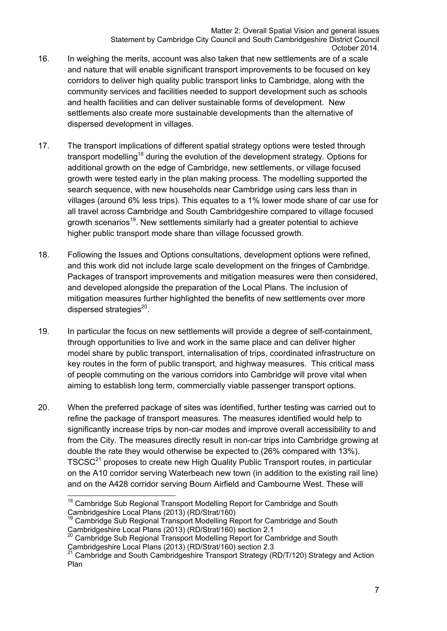- 16. In weighing the merits, account was also taken that new settlements are of a scale and nature that will enable significant transport improvements to be focused on key corridors to deliver high quality public transport links to Cambridge, along with the community services and facilities needed to support development such as schools and health facilities and can deliver sustainable forms of development. New settlements also create more sustainable developments than the alternative of dispersed development in villages.
- 17. The transport implications of different spatial strategy options were tested through transport modelling<sup>18</sup> during the evolution of the development strategy. Options for additional growth on the edge of Cambridge, new settlements, or village focused growth were tested early in the plan making process. The modelling supported the search sequence, with new households near Cambridge using cars less than in villages (around 6% less trips). This equates to a 1% lower mode share of car use for all travel across Cambridge and South Cambridgeshire compared to village focused growth scenarios<sup>19</sup>. New settlements similarly had a greater potential to achieve higher public transport mode share than village focussed growth.
- 18. Following the Issues and Options consultations, development options were refined, and this work did not include large scale development on the fringes of Cambridge. Packages of transport improvements and mitigation measures were then considered, and developed alongside the preparation of the Local Plans. The inclusion of mitigation measures further highlighted the benefits of new settlements over more dispersed strategies $^{20}$ .
- 19. In particular the focus on new settlements will provide a degree of self-containment, through opportunities to live and work in the same place and can deliver higher model share by public transport, internalisation of trips, coordinated infrastructure on key routes in the form of public transport, and highway measures. This critical mass of people commuting on the various corridors into Cambridge will prove vital when aiming to establish long term, commercially viable passenger transport options.
- 20. When the preferred package of sites was identified, further testing was carried out to refine the package of transport measures. The measures identified would help to significantly increase trips by non-car modes and improve overall accessibility to and from the City. The measures directly result in non-car trips into Cambridge growing at double the rate they would otherwise be expected to (26% compared with 13%). TSCSC<sup>21</sup> proposes to create new High Quality Public Transport routes, in particular on the A10 corridor serving Waterbeach new town (in addition to the existing rail line) and on the A428 corridor serving Bourn Airfield and Cambourne West. These will

 $\overline{\phantom{a}}$ <sup>18</sup> Cambridge Sub Regional Transport Modelling Report for Cambridge and South Cambridgeshire Local Plans (2013) (RD/Strat/160)

<sup>&</sup>lt;sup>19</sup> Cambridge Sub Regional Transport Modelling Report for Cambridge and South Cambridgeshire Local Plans (2013) (RD/Strat/160) section 2.1

<sup>&</sup>lt;sup>20</sup> Cambridge Sub Regional Transport Modelling Report for Cambridge and South Cambridgeshire Local Plans (2013) (RD/Strat/160) section 2.3

<sup>21</sup> Cambridge and South Cambridgeshire Transport Strategy (RD/T/120) Strategy and Action Plan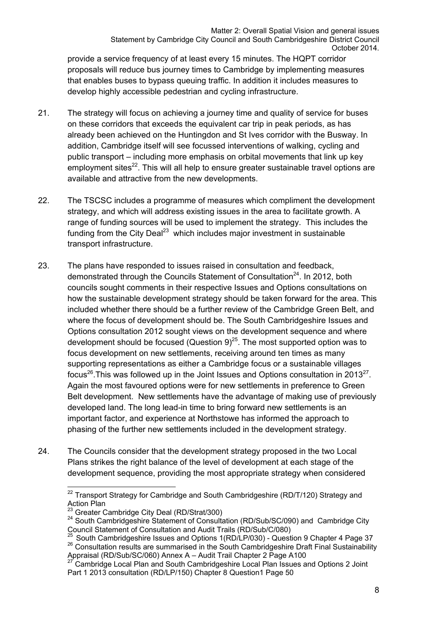provide a service frequency of at least every 15 minutes. The HQPT corridor proposals will reduce bus journey times to Cambridge by implementing measures that enables buses to bypass queuing traffic. In addition it includes measures to develop highly accessible pedestrian and cycling infrastructure.

- 21. The strategy will focus on achieving a journey time and quality of service for buses on these corridors that exceeds the equivalent car trip in peak periods, as has already been achieved on the Huntingdon and St Ives corridor with the Busway. In addition, Cambridge itself will see focussed interventions of walking, cycling and public transport – including more emphasis on orbital movements that link up key employment sites $^{22}$ . This will all help to ensure greater sustainable travel options are available and attractive from the new developments.
- 22. The TSCSC includes a programme of measures which compliment the development strategy, and which will address existing issues in the area to facilitate growth. A range of funding sources will be used to implement the strategy. This includes the funding from the City Deal<sup>23</sup> which includes major investment in sustainable transport infrastructure.
- 23. The plans have responded to issues raised in consultation and feedback, demonstrated through the Councils Statement of Consultation<sup>24</sup>. In 2012, both councils sought comments in their respective Issues and Options consultations on how the sustainable development strategy should be taken forward for the area. This included whether there should be a further review of the Cambridge Green Belt, and where the focus of development should be. The South Cambridgeshire Issues and Options consultation 2012 sought views on the development sequence and where development should be focused (Question  $9)^{25}$ . The most supported option was to focus development on new settlements, receiving around ten times as many supporting representations as either a Cambridge focus or a sustainable villages focus<sup>26</sup>. This was followed up in the Joint Issues and Options consultation in 2013<sup>27</sup>. Again the most favoured options were for new settlements in preference to Green Belt development. New settlements have the advantage of making use of previously developed land. The long lead-in time to bring forward new settlements is an important factor, and experience at Northstowe has informed the approach to phasing of the further new settlements included in the development strategy.
- 24. The Councils consider that the development strategy proposed in the two Local Plans strikes the right balance of the level of development at each stage of the development sequence, providing the most appropriate strategy when considered

 $\overline{a}$  $22$  Transport Strategy for Cambridge and South Cambridgeshire (RD/T/120) Strategy and Action Plan<br>
<sup>23</sup> Greater Cambridge City Deal (RD/Strat/300)

<sup>&</sup>lt;sup>24</sup> South Cambridge Statement of Consultation (RD/Sub/SC/090) and Cambridge City Council Statement of Consultation and Audit Trails (RD/Sub/C/080)<br><sup>25</sup> South Cambridgeshire Issues and Options 1(RD/LP/030) - Question 9 Chapter 4 Page 37

<sup>&</sup>lt;sup>26</sup> Consultation results are summarised in the South Cambridgeshire Draft Final Sustainability Appraisal (RD/Sub/SC/060) Annex A – Audit Trail Chapter 2 Page A100 27 Cambridge Local Plan and South Cambridgeshire Local Plan Issues and Options 2 Joint

Part 1 2013 consultation (RD/LP/150) Chapter 8 Question1 Page 50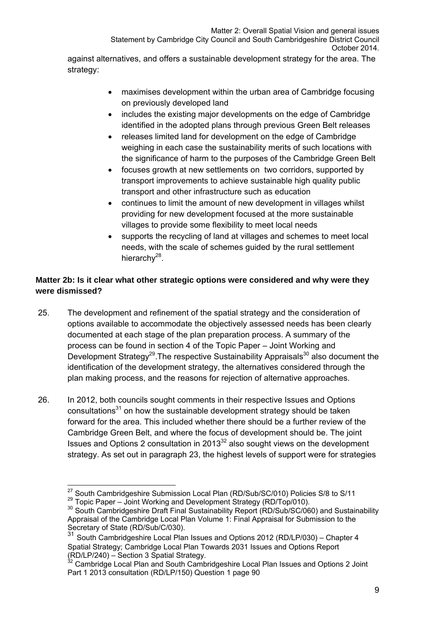against alternatives, and offers a sustainable development strategy for the area. The strategy:

- maximises development within the urban area of Cambridge focusing on previously developed land
- includes the existing major developments on the edge of Cambridge identified in the adopted plans through previous Green Belt releases
- releases limited land for development on the edge of Cambridge weighing in each case the sustainability merits of such locations with the significance of harm to the purposes of the Cambridge Green Belt
- focuses growth at new settlements on two corridors, supported by transport improvements to achieve sustainable high quality public transport and other infrastructure such as education
- continues to limit the amount of new development in villages whilst providing for new development focused at the more sustainable villages to provide some flexibility to meet local needs
- supports the recycling of land at villages and schemes to meet local needs, with the scale of schemes guided by the rural settlement hierarchy $^{28}$ .

# **Matter 2b: Is it clear what other strategic options were considered and why were they were dismissed?**

- 25. The development and refinement of the spatial strategy and the consideration of options available to accommodate the objectively assessed needs has been clearly documented at each stage of the plan preparation process. A summary of the process can be found in section 4 of the Topic Paper – Joint Working and Development Strategy<sup>29</sup>. The respective Sustainability Appraisals<sup>30</sup> also document the identification of the development strategy, the alternatives considered through the plan making process, and the reasons for rejection of alternative approaches.
- 26. In 2012, both councils sought comments in their respective Issues and Options consultations<sup>31</sup> on how the sustainable development strategy should be taken forward for the area. This included whether there should be a further review of the Cambridge Green Belt, and where the focus of development should be. The joint Issues and Options 2 consultation in 2013 $32$  also sought views on the development strategy. As set out in paragraph 23, the highest levels of support were for strategies

 $\overline{27}$  South Cambridgeshire Submission Local Plan (RD/Sub/SC/010) Policies S/8 to S/11

<sup>29</sup> Topic Paper – Joint Working and Development Strategy (RD/Top/010).<br>30 South Cambridgeshire Draft Final Sustainability Report (RD/Sub/SC/060) and Sustainability Appraisal of the Cambridge Local Plan Volume 1: Final Appraisal for Submission to the Secretary of State (RD/Sub/C/030).

<sup>31</sup> South Cambridgeshire Local Plan Issues and Options 2012 (RD/LP/030) – Chapter 4 Spatial Strategy; Cambridge Local Plan Towards 2031 Issues and Options Report (RD/LP/240) – Section 3 Spatial Strategy.

 $32$  Cambridge Local Plan and South Cambridgeshire Local Plan Issues and Options 2 Joint Part 1 2013 consultation (RD/LP/150) Question 1 page 90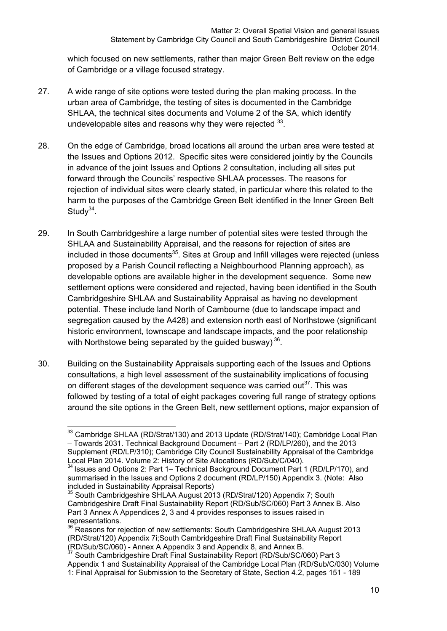which focused on new settlements, rather than major Green Belt review on the edge of Cambridge or a village focused strategy.

- 27. A wide range of site options were tested during the plan making process. In the urban area of Cambridge, the testing of sites is documented in the Cambridge SHLAA, the technical sites documents and Volume 2 of the SA, which identify undevelopable sites and reasons why they were rejected  $33$ .
- 28. On the edge of Cambridge, broad locations all around the urban area were tested at the Issues and Options 2012. Specific sites were considered jointly by the Councils in advance of the joint Issues and Options 2 consultation, including all sites put forward through the Councils' respective SHLAA processes. The reasons for rejection of individual sites were clearly stated, in particular where this related to the harm to the purposes of the Cambridge Green Belt identified in the Inner Green Belt Study $34$ .
- 29. In South Cambridgeshire a large number of potential sites were tested through the SHLAA and Sustainability Appraisal, and the reasons for rejection of sites are included in those documents $35$ . Sites at Group and Infill villages were rejected (unless proposed by a Parish Council reflecting a Neighbourhood Planning approach), as developable options are available higher in the development sequence. Some new settlement options were considered and rejected, having been identified in the South Cambridgeshire SHLAA and Sustainability Appraisal as having no development potential. These include land North of Cambourne (due to landscape impact and segregation caused by the A428) and extension north east of Northstowe (significant historic environment, townscape and landscape impacts, and the poor relationship with Northstowe being separated by the quided busway)  $36$ .
- 30. Building on the Sustainability Appraisals supporting each of the Issues and Options consultations, a high level assessment of the sustainability implications of focusing on different stages of the development sequence was carried out<sup>37</sup>. This was followed by testing of a total of eight packages covering full range of strategy options around the site options in the Green Belt, new settlement options, major expansion of

Appendix 1 and Sustainability Appraisal of the Cambridge Local Plan (RD/Sub/C/030) Volume 1: Final Appraisal for Submission to the Secretary of State, Section 4.2, pages 151 - 189

  $33$  Cambridge SHLAA (RD/Strat/130) and 2013 Update (RD/Strat/140); Cambridge Local Plan – Towards 2031. Technical Background Document – Part 2 (RD/LP/260), and the 2013 Supplement (RD/LP/310); Cambridge City Council Sustainability Appraisal of the Cambridge Local Plan 2014. Volume 2: History of Site Allocations (RD/Sub/C/040).

<sup>&</sup>lt;sup>34</sup> Issues and Options 2: Part 1– Technical Background Document Part 1 (RD/LP/170), and summarised in the Issues and Options 2 document (RD/LP/150) Appendix 3. (Note: Also included in Sustainability Appraisal Reports)

<sup>35</sup> South Cambridgeshire SHLAA August 2013 (RD/Strat/120) Appendix 7; South Cambridgeshire Draft Final Sustainability Report (RD/Sub/SC/060) Part 3 Annex B. Also Part 3 Annex A Appendices 2, 3 and 4 provides responses to issues raised in representations.

<sup>&</sup>lt;sup>36</sup> Reasons for rejection of new settlements: South Cambridgeshire SHLAA August 2013 (RD/Strat/120) Appendix 7i;South Cambridgeshire Draft Final Sustainability Report (RD/Sub/SC/060) - Annex A Appendix 3 and Appendix 8, and Annex B. 37 South Cambridgeshire Draft Final Sustainability Report (RD/Sub/SC/060) Part 3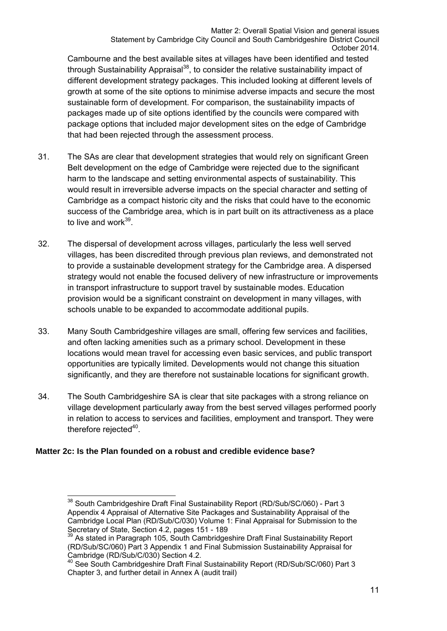Cambourne and the best available sites at villages have been identified and tested through Sustainability Appraisal<sup>38</sup>, to consider the relative sustainability impact of different development strategy packages. This included looking at different levels of growth at some of the site options to minimise adverse impacts and secure the most sustainable form of development. For comparison, the sustainability impacts of packages made up of site options identified by the councils were compared with package options that included major development sites on the edge of Cambridge that had been rejected through the assessment process.

- 31. The SAs are clear that development strategies that would rely on significant Green Belt development on the edge of Cambridge were rejected due to the significant harm to the landscape and setting environmental aspects of sustainability. This would result in irreversible adverse impacts on the special character and setting of Cambridge as a compact historic city and the risks that could have to the economic success of the Cambridge area, which is in part built on its attractiveness as a place to live and work $39$ .
- 32. The dispersal of development across villages, particularly the less well served villages, has been discredited through previous plan reviews, and demonstrated not to provide a sustainable development strategy for the Cambridge area. A dispersed strategy would not enable the focused delivery of new infrastructure or improvements in transport infrastructure to support travel by sustainable modes. Education provision would be a significant constraint on development in many villages, with schools unable to be expanded to accommodate additional pupils.
- 33. Many South Cambridgeshire villages are small, offering few services and facilities, and often lacking amenities such as a primary school. Development in these locations would mean travel for accessing even basic services, and public transport opportunities are typically limited. Developments would not change this situation significantly, and they are therefore not sustainable locations for significant growth.
- 34. The South Cambridgeshire SA is clear that site packages with a strong reliance on village development particularly away from the best served villages performed poorly in relation to access to services and facilities, employment and transport. They were therefore rejected $40$ .

#### **Matter 2c: Is the Plan founded on a robust and credible evidence base?**

 $\overline{a}$ <sup>38</sup> South Cambridgeshire Draft Final Sustainability Report (RD/Sub/SC/060) - Part 3 Appendix 4 Appraisal of Alternative Site Packages and Sustainability Appraisal of the Cambridge Local Plan (RD/Sub/C/030) Volume 1: Final Appraisal for Submission to the Secretary of State, Section 4.2, pages 151 - 189<br>
<sup>39</sup> As stated in Paragraph 105, South Cambridgeshire Draft Final Sustainability Report

<sup>(</sup>RD/Sub/SC/060) Part 3 Appendix 1 and Final Submission Sustainability Appraisal for Cambridge (RD/Sub/C/030) Section 4.2.

<sup>40</sup> See South Cambridgeshire Draft Final Sustainability Report (RD/Sub/SC/060) Part 3 Chapter 3, and further detail in Annex A (audit trail)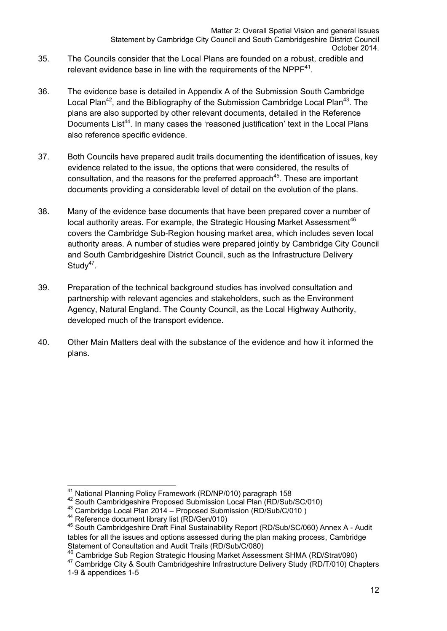- 35. The Councils consider that the Local Plans are founded on a robust, credible and relevant evidence base in line with the requirements of the NPP $F<sup>41</sup>$ .
- 36. The evidence base is detailed in Appendix A of the Submission South Cambridge Local Plan<sup>42</sup>, and the Bibliography of the Submission Cambridge Local Plan<sup>43</sup>. The plans are also supported by other relevant documents, detailed in the Reference Documents List<sup>44</sup>. In many cases the 'reasoned justification' text in the Local Plans also reference specific evidence.
- 37. Both Councils have prepared audit trails documenting the identification of issues, key evidence related to the issue, the options that were considered, the results of consultation, and the reasons for the preferred approach<sup>45</sup>. These are important documents providing a considerable level of detail on the evolution of the plans.
- 38. Many of the evidence base documents that have been prepared cover a number of local authority areas. For example, the Strategic Housing Market Assessment<sup>46</sup> covers the Cambridge Sub-Region housing market area, which includes seven local authority areas. A number of studies were prepared jointly by Cambridge City Council and South Cambridgeshire District Council, such as the Infrastructure Delivery Study<sup>47</sup>.
- 39. Preparation of the technical background studies has involved consultation and partnership with relevant agencies and stakeholders, such as the Environment Agency, Natural England. The County Council, as the Local Highway Authority, developed much of the transport evidence.
- 40. Other Main Matters deal with the substance of the evidence and how it informed the plans.

<sup>&</sup>lt;sup>41</sup> National Planning Policy Framework (RD/NP/010) paragraph 158

<sup>42</sup> South Cambridgeshire Proposed Submission Local Plan (RD/Sub/SC/010)<br>
43 Cambridge Local Plan 2014 – Proposed Submission (RD/Sub/C/010)<br>
44 Reference document library list (RD/Gen/010)<br>
45 South Cambridgeshire Draft Fina tables for all the issues and options assessed during the plan making process, Cambridge Statement of Consultation and Audit Trails (RD/Sub/C/080)<br><sup>46</sup> Cambridge Sub Region Strategic Housing Market Assessment SHMA (RD/Strat/090)

<sup>&</sup>lt;sup>47</sup> Cambridge City & South Cambridgeshire Infrastructure Delivery Study (RD/T/010) Chapters 1-9 & appendices 1-5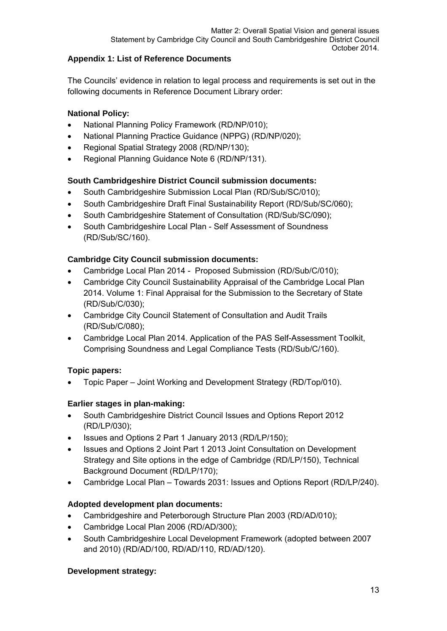#### **Appendix 1: List of Reference Documents**

The Councils' evidence in relation to legal process and requirements is set out in the following documents in Reference Document Library order:

#### **National Policy:**

- National Planning Policy Framework (RD/NP/010);
- National Planning Practice Guidance (NPPG) (RD/NP/020);
- Regional Spatial Strategy 2008 (RD/NP/130);
- Regional Planning Guidance Note 6 (RD/NP/131).

#### **South Cambridgeshire District Council submission documents:**

- South Cambridgeshire Submission Local Plan (RD/Sub/SC/010);
- South Cambridgeshire Draft Final Sustainability Report (RD/Sub/SC/060);
- South Cambridgeshire Statement of Consultation (RD/Sub/SC/090);
- South Cambridgeshire Local Plan Self Assessment of Soundness (RD/Sub/SC/160).

#### **Cambridge City Council submission documents:**

- Cambridge Local Plan 2014 Proposed Submission (RD/Sub/C/010);
- Cambridge City Council Sustainability Appraisal of the Cambridge Local Plan 2014. Volume 1: Final Appraisal for the Submission to the Secretary of State (RD/Sub/C/030);
- Cambridge City Council Statement of Consultation and Audit Trails (RD/Sub/C/080);
- Cambridge Local Plan 2014. Application of the PAS Self-Assessment Toolkit, Comprising Soundness and Legal Compliance Tests (RD/Sub/C/160).

#### **Topic papers:**

Topic Paper – Joint Working and Development Strategy (RD/Top/010).

#### **Earlier stages in plan-making:**

- South Cambridgeshire District Council Issues and Options Report 2012 (RD/LP/030);
- Issues and Options 2 Part 1 January 2013 (RD/LP/150);
- Issues and Options 2 Joint Part 1 2013 Joint Consultation on Development Strategy and Site options in the edge of Cambridge (RD/LP/150), Technical Background Document (RD/LP/170);
- Cambridge Local Plan Towards 2031: Issues and Options Report (RD/LP/240).

#### **Adopted development plan documents:**

- Cambridgeshire and Peterborough Structure Plan 2003 (RD/AD/010);
- Cambridge Local Plan 2006 (RD/AD/300);
- South Cambridgeshire Local Development Framework (adopted between 2007 and 2010) (RD/AD/100, RD/AD/110, RD/AD/120).

#### **Development strategy:**